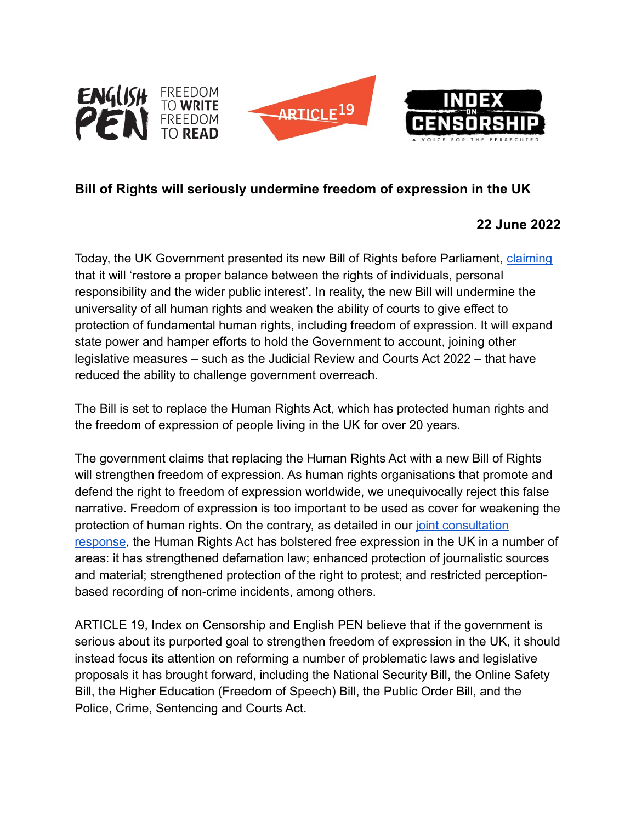

## **Bill of Rights will seriously undermine freedom of expression in the UK**

## **22 June 2022**

Today, the UK Government presented its new Bill of Rights before Parliament, [claiming](https://www.gov.uk/government/consultations/human-rights-act-reform-a-modern-bill-of-rights) that it will 'restore a proper balance between the rights of individuals, personal responsibility and the wider public interest'. In reality, the new Bill will undermine the universality of all human rights and weaken the ability of courts to give effect to protection of fundamental human rights, including freedom of expression. It will expand state power and hamper efforts to hold the Government to account, joining other legislative measures – such as the Judicial Review and Courts Act 2022 – that have reduced the ability to challenge government overreach.

The Bill is set to replace the Human Rights Act, which has protected human rights and the freedom of expression of people living in the UK for over 20 years.

The government claims that replacing the Human Rights Act with a new Bill of Rights will strengthen freedom of expression. As human rights organisations that promote and defend the right to freedom of expression worldwide, we unequivocally reject this false narrative. Freedom of expression is too important to be used as cover for weakening the protection of human rights. On the contrary, as detailed in our joint consultation [response](https://www.article19.org/wp-content/uploads/2022/03/English-PEN-ARTICLE19-Index-on-Censorship-HRA-Consultation-Response.pdf), the Human Rights Act has bolstered free expression in the UK in a number of areas: it has strengthened defamation law; enhanced protection of journalistic sources and material; strengthened protection of the right to protest; and restricted perceptionbased recording of non-crime incidents, among others.

ARTICLE 19, Index on Censorship and English PEN believe that if the government is serious about its purported goal to strengthen freedom of expression in the UK, it should instead focus its attention on reforming a number of problematic laws and legislative proposals it has brought forward, including the National Security Bill, the Online Safety Bill, the Higher Education (Freedom of Speech) Bill, the Public Order Bill, and the Police, Crime, Sentencing and Courts Act.